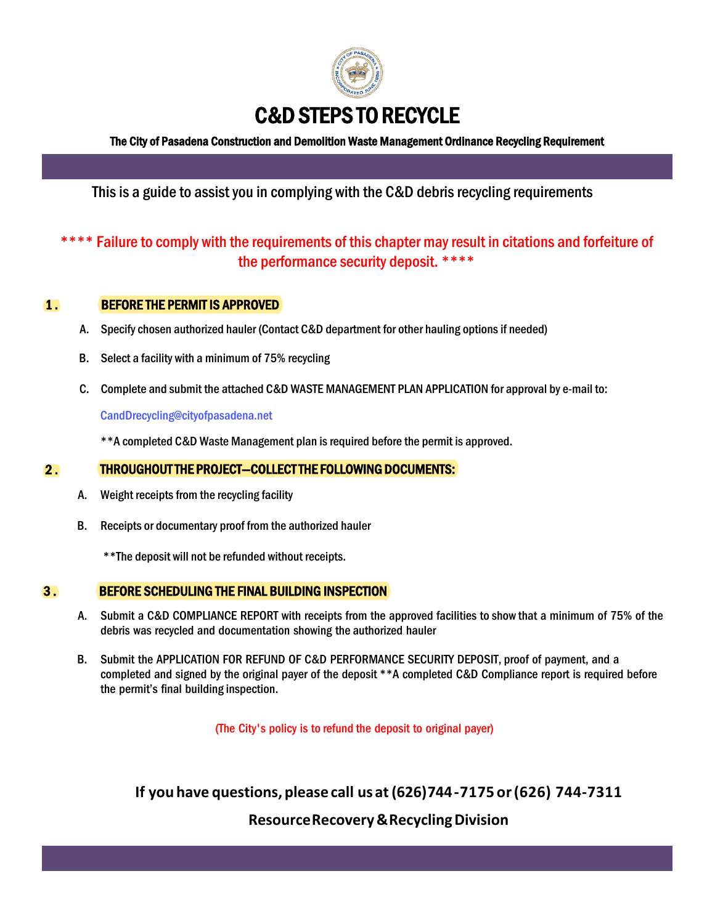

The City of Pasadena Construction and Demolition Waste Management Ordinance Recycling Requirement

# This is a guide to assist you in complying with the C&D debris recycling requirements

# \*\*\*\* Failure to comply with the requirements of this chapter may result in citations and forfeiture of the performance security deposit. \*\*\*\*

# 1 . BEFORE THE PERMIT IS APPROVED

- A. Specify chosen authorized hauler (Contact C&D department for other hauling options if needed)
- B. Select a facility with a minimum of 75% recycling
- C. Complete and submit the attached C&D WASTE MANAGEMENT PLAN APPLICATION for approval by e-mail to:

CandDrecycling@cityofpasadena.net

\*\*A completed C&D Waste Management plan is required before the permit is approved.

#### $2.$ THROUGHOUT THE PROJECT—COLLECT THE FOLLOWING DOCUMENTS:

- A. Weight receipts from the recycling facility
- B. Receipts or documentary proof from the authorized hauler

\*\*The deposit will not be refunded without receipts.

### 3 . BEFORE SCHEDULING THE FINAL BUILDING INSPECTION

- A. Submit a C&D COMPLIANCE REPORT with receipts from the approved facilities to show that a minimum of 75% of the debris was recycled and documentation showing the authorized hauler
- B. Submit the APPLICATION FOR REFUND OF C&D PERFORMANCE SECURITY DEPOSIT, proof of payment, and a completed and signed by the original payer of the deposit \*\*A completed C&D Compliance report is required before the permit's final building inspection.

(The City's policy is to refund the deposit to original payer)

**If you have questions, please call us at (626) 744 - 7175 or(626) 744-7311** 

**Resource Recovery & Recycling Division**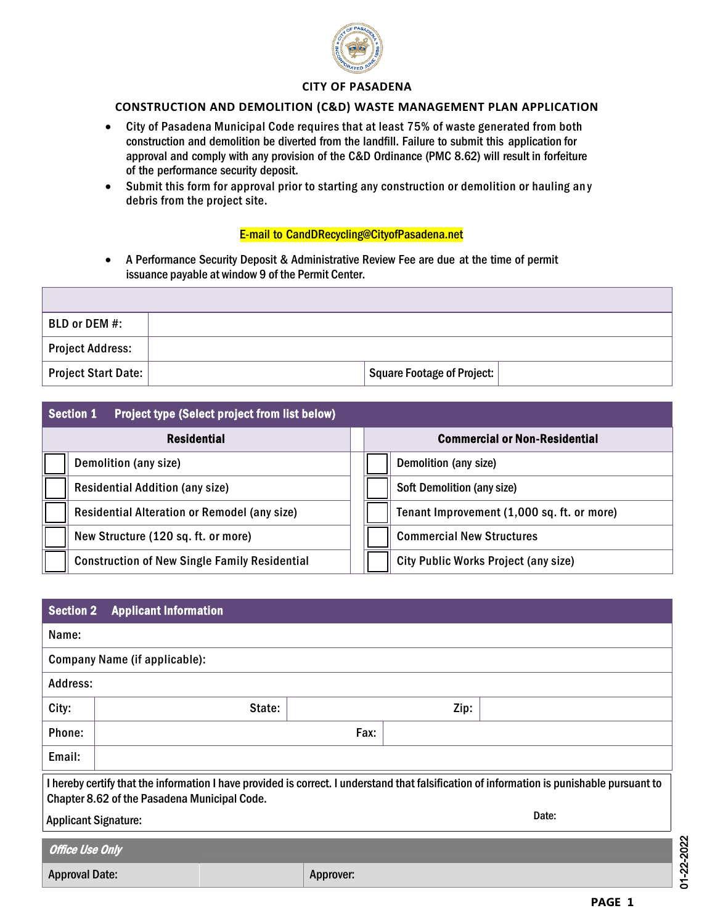

#### **CITY OF PASADENA**

#### **CONSTRUCTION AND DEMOLITION (C&D) WASTE MANAGEMENT PLAN APPLICATION**

- City of Pasadena Municipal Code requires that at least 75% of waste generated from both construction and demolition be diverted from the landfill. Failure to submit this application for approval and comply with any provision of the C&D Ordinance (PMC 8.62) will result in forfeiture of the performance security deposit.
- Submit this form for approval prior to starting any construction or demolition or hauling an y debris from the project site.

#### E-mail to Ca[ndDRecycling@CityofPasadena.n](mailto:recycle@cityofpasadena.net)et

• A Performance Security Deposit & Administrative Review Fee are due at the time of permit issuance payable at window 9 of the Permit Center.

| BLD or DEM #:           |                            |  |
|-------------------------|----------------------------|--|
| <b>Project Address:</b> |                            |  |
| Project Start Date:     | Square Footage of Project: |  |

|                    | <b>Section 1</b><br><b>Project type (Select project from list below)</b> |  |                                      |                                            |  |
|--------------------|--------------------------------------------------------------------------|--|--------------------------------------|--------------------------------------------|--|
| <b>Residential</b> |                                                                          |  | <b>Commercial or Non-Residential</b> |                                            |  |
|                    | Demolition (any size)                                                    |  |                                      | Demolition (any size)                      |  |
|                    | <b>Residential Addition (any size)</b>                                   |  |                                      | <b>Soft Demolition (any size)</b>          |  |
|                    | Residential Alteration or Remodel (any size)                             |  |                                      | Tenant Improvement (1,000 sq. ft. or more) |  |
|                    | New Structure (120 sq. ft. or more)                                      |  |                                      | <b>Commercial New Structures</b>           |  |
|                    | <b>Construction of New Single Family Residential</b>                     |  |                                      | City Public Works Project (any size)       |  |

| <b>Section 2</b>                                                                                                                                                                           | <b>Applicant Information</b>  |           |      |  |  |  |
|--------------------------------------------------------------------------------------------------------------------------------------------------------------------------------------------|-------------------------------|-----------|------|--|--|--|
| Name:                                                                                                                                                                                      |                               |           |      |  |  |  |
|                                                                                                                                                                                            | Company Name (if applicable): |           |      |  |  |  |
| Address:                                                                                                                                                                                   |                               |           |      |  |  |  |
| City:                                                                                                                                                                                      | State:                        |           | Zip: |  |  |  |
| Phone:                                                                                                                                                                                     |                               | Fax:      |      |  |  |  |
| Email:                                                                                                                                                                                     |                               |           |      |  |  |  |
| I hereby certify that the information I have provided is correct. I understand that falsification of information is punishable pursuant to<br>Chapter 8.62 of the Pasadena Municipal Code. |                               |           |      |  |  |  |
| Date:<br><b>Applicant Signature:</b>                                                                                                                                                       |                               |           |      |  |  |  |
| <b>Office Use Only</b>                                                                                                                                                                     |                               |           |      |  |  |  |
| <b>Approval Date:</b>                                                                                                                                                                      |                               | Approver: |      |  |  |  |

01-22-2022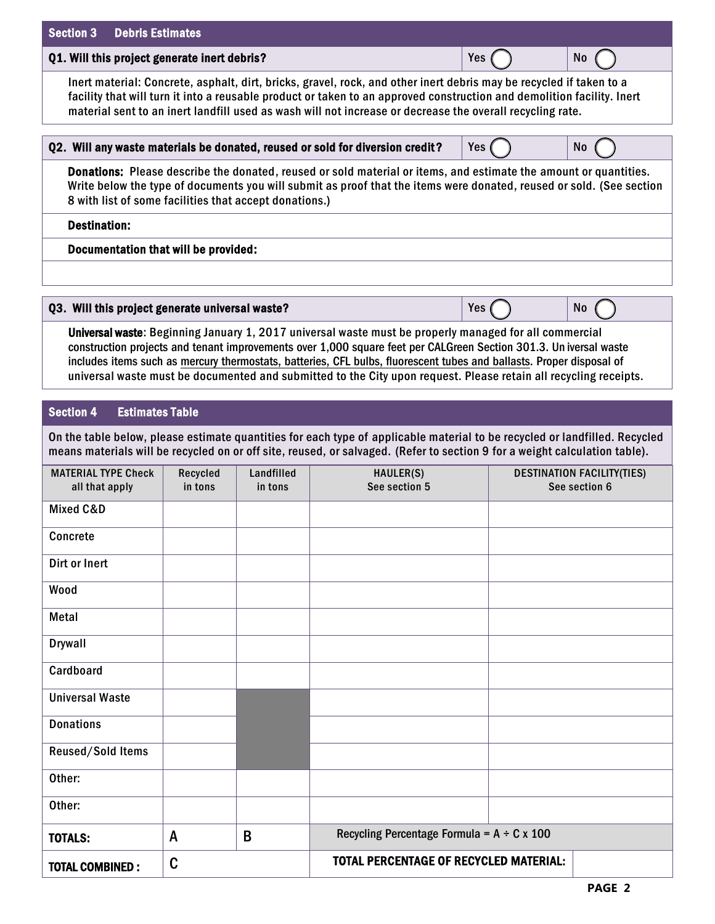| <b>Section 3</b><br><b>Debris Estimates</b>                                                                                                                                                                                                                                                                                                                                                                                                                             |                     |                       |                                                                                                                                                                                                                                                          |     |                                                    |  |
|-------------------------------------------------------------------------------------------------------------------------------------------------------------------------------------------------------------------------------------------------------------------------------------------------------------------------------------------------------------------------------------------------------------------------------------------------------------------------|---------------------|-----------------------|----------------------------------------------------------------------------------------------------------------------------------------------------------------------------------------------------------------------------------------------------------|-----|----------------------------------------------------|--|
| Q1. Will this project generate inert debris?<br>Yes<br>N <sub>0</sub>                                                                                                                                                                                                                                                                                                                                                                                                   |                     |                       |                                                                                                                                                                                                                                                          |     |                                                    |  |
| Inert material: Concrete, asphalt, dirt, bricks, gravel, rock, and other inert debris may be recycled if taken to a<br>facility that will turn it into a reusable product or taken to an approved construction and demolition facility. Inert<br>material sent to an inert landfill used as wash will not increase or decrease the overall recycling rate.                                                                                                              |                     |                       |                                                                                                                                                                                                                                                          |     |                                                    |  |
|                                                                                                                                                                                                                                                                                                                                                                                                                                                                         |                     |                       | Q2. Will any waste materials be donated, reused or sold for diversion credit?                                                                                                                                                                            | Yes | <b>No</b>                                          |  |
| <b>Donations:</b> Please describe the donated, reused or sold material or items, and estimate the amount or quantities.<br>Write below the type of documents you will submit as proof that the items were donated, reused or sold. (See section<br>8 with list of some facilities that accept donations.)                                                                                                                                                               |                     |                       |                                                                                                                                                                                                                                                          |     |                                                    |  |
| <b>Destination:</b>                                                                                                                                                                                                                                                                                                                                                                                                                                                     |                     |                       |                                                                                                                                                                                                                                                          |     |                                                    |  |
| Documentation that will be provided:                                                                                                                                                                                                                                                                                                                                                                                                                                    |                     |                       |                                                                                                                                                                                                                                                          |     |                                                    |  |
| Q3. Will this project generate universal waste?                                                                                                                                                                                                                                                                                                                                                                                                                         |                     |                       |                                                                                                                                                                                                                                                          | Yes | No                                                 |  |
| Universal waste: Beginning January 1, 2017 universal waste must be properly managed for all commercial<br>construction projects and tenant improvements over 1,000 square feet per CALGreen Section 301.3. Un iversal waste<br>includes items such as mercury thermostats, batteries, CFL bulbs, fluorescent tubes and ballasts. Proper disposal of<br>universal waste must be documented and submitted to the City upon request. Please retain all recycling receipts. |                     |                       |                                                                                                                                                                                                                                                          |     |                                                    |  |
| <b>Section 4</b><br><b>Estimates Table</b>                                                                                                                                                                                                                                                                                                                                                                                                                              |                     |                       |                                                                                                                                                                                                                                                          |     |                                                    |  |
|                                                                                                                                                                                                                                                                                                                                                                                                                                                                         |                     |                       | On the table below, please estimate quantities for each type of applicable material to be recycled or landfilled. Recycled<br>means materials will be recycled on or off site, reused, or salvaged. (Refer to section 9 for a weight calculation table). |     |                                                    |  |
| <b>MATERIAL TYPE Check</b><br>all that apply                                                                                                                                                                                                                                                                                                                                                                                                                            | Recycled<br>in tons | Landfilled<br>in tons | HAULER(S)<br>See section 5                                                                                                                                                                                                                               |     | <b>DESTINATION FACILITY(TIES)</b><br>See section 6 |  |
| Mixed C&D                                                                                                                                                                                                                                                                                                                                                                                                                                                               |                     |                       |                                                                                                                                                                                                                                                          |     |                                                    |  |
| Concrete                                                                                                                                                                                                                                                                                                                                                                                                                                                                |                     |                       |                                                                                                                                                                                                                                                          |     |                                                    |  |
| Dirt or Inert                                                                                                                                                                                                                                                                                                                                                                                                                                                           |                     |                       |                                                                                                                                                                                                                                                          |     |                                                    |  |
| Wood                                                                                                                                                                                                                                                                                                                                                                                                                                                                    |                     |                       |                                                                                                                                                                                                                                                          |     |                                                    |  |
| Metal                                                                                                                                                                                                                                                                                                                                                                                                                                                                   |                     |                       |                                                                                                                                                                                                                                                          |     |                                                    |  |
| <b>Drywall</b>                                                                                                                                                                                                                                                                                                                                                                                                                                                          |                     |                       |                                                                                                                                                                                                                                                          |     |                                                    |  |
| Cardboard                                                                                                                                                                                                                                                                                                                                                                                                                                                               |                     |                       |                                                                                                                                                                                                                                                          |     |                                                    |  |
| <b>Universal Waste</b>                                                                                                                                                                                                                                                                                                                                                                                                                                                  |                     |                       |                                                                                                                                                                                                                                                          |     |                                                    |  |
| <b>Donations</b>                                                                                                                                                                                                                                                                                                                                                                                                                                                        |                     |                       |                                                                                                                                                                                                                                                          |     |                                                    |  |
| Reused/Sold Items                                                                                                                                                                                                                                                                                                                                                                                                                                                       |                     |                       |                                                                                                                                                                                                                                                          |     |                                                    |  |
| Other:                                                                                                                                                                                                                                                                                                                                                                                                                                                                  |                     |                       |                                                                                                                                                                                                                                                          |     |                                                    |  |
| Other:                                                                                                                                                                                                                                                                                                                                                                                                                                                                  |                     |                       |                                                                                                                                                                                                                                                          |     |                                                    |  |
| <b>TOTALS:</b>                                                                                                                                                                                                                                                                                                                                                                                                                                                          | A                   | B                     | Recycling Percentage Formula = $A \div C \times 100$                                                                                                                                                                                                     |     |                                                    |  |
| <b>TOTAL COMBINED:</b>                                                                                                                                                                                                                                                                                                                                                                                                                                                  | C                   |                       | <b>TOTAL PERCENTAGE OF RECYCLED MATERIAL:</b>                                                                                                                                                                                                            |     |                                                    |  |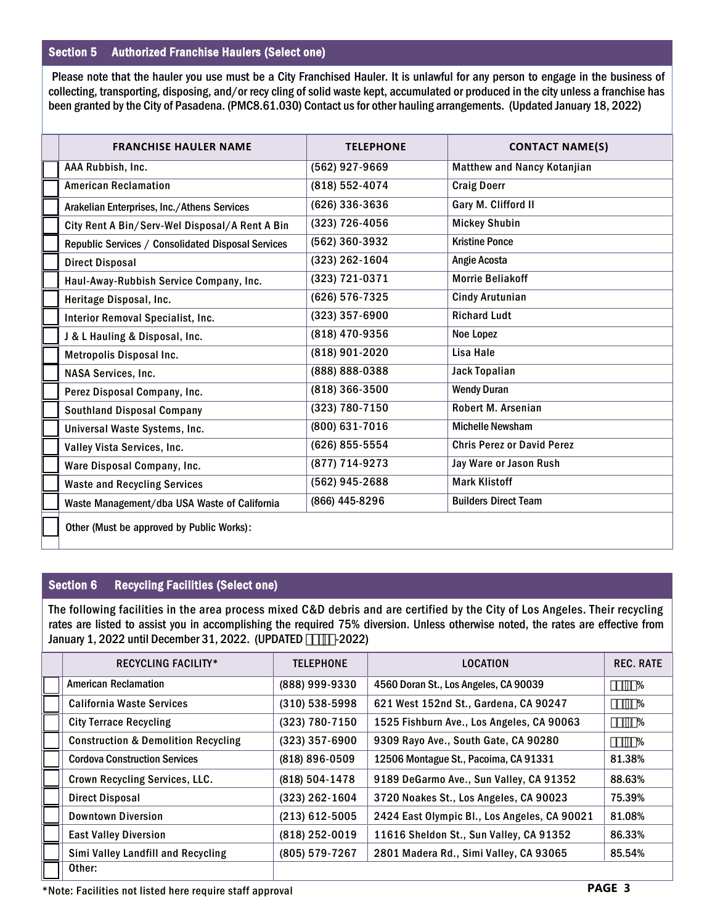# Section 5 Authorized Franchise Haulers (Select one)

 Please note that the hauler you use must be a City Franchised Hauler. It is unlawful for any person to engage in the business of collecting, transporting, disposing, and/or recy cling of solid waste kept, accumulated or produced in the city unless a franchise has been granted by the City of Pasadena. (PMC8.61.030) Contact us for other hauling arrangements. (Updated January 18, 2022)

| <b>FRANCHISE HAULER NAME</b>                       | <b>TELEPHONE</b> | <b>CONTACT NAME(S)</b>             |
|----------------------------------------------------|------------------|------------------------------------|
| AAA Rubbish, Inc.                                  | (562) 927-9669   | <b>Matthew and Nancy Kotanjian</b> |
| <b>American Reclamation</b>                        | (818) 552-4074   | <b>Craig Doerr</b>                 |
| Arakelian Enterprises, Inc./Athens Services        | (626) 336-3636   | Gary M. Clifford II                |
| City Rent A Bin/Serv-Wel Disposal/A Rent A Bin     | (323) 726-4056   | <b>Mickey Shubin</b>               |
| Republic Services / Consolidated Disposal Services | (562) 360-3932   | <b>Kristine Ponce</b>              |
| <b>Direct Disposal</b>                             | (323) 262-1604   | Angie Acosta                       |
| Haul-Away-Rubbish Service Company, Inc.            | (323) 721-0371   | <b>Morrie Beliakoff</b>            |
| Heritage Disposal, Inc.                            | (626) 576-7325   | <b>Cindy Arutunian</b>             |
| Interior Removal Specialist, Inc.                  | $(323)$ 357-6900 | <b>Richard Ludt</b>                |
| J & L Hauling & Disposal, Inc.                     | (818) 470-9356   | Noe Lopez                          |
| Metropolis Disposal Inc.                           | (818) 901-2020   | Lisa Hale                          |
| <b>NASA Services, Inc.</b>                         | (888) 888-0388   | <b>Jack Topalian</b>               |
| Perez Disposal Company, Inc.                       | $(818)$ 366-3500 | <b>Wendy Duran</b>                 |
| <b>Southland Disposal Company</b>                  | (323) 780-7150   | Robert M. Arsenian                 |
| Universal Waste Systems, Inc.                      | (800) 631-7016   | <b>Michelle Newsham</b>            |
| Valley Vista Services, Inc.                        | (626) 855-5554   | <b>Chris Perez or David Perez</b>  |
| Ware Disposal Company, Inc.                        | (877) 714-9273   | Jay Ware or Jason Rush             |
| <b>Waste and Recycling Services</b>                | (562) 945-2688   | <b>Mark Klistoff</b>               |
| Waste Management/dba USA Waste of California       | (866) 445-8296   | <b>Builders Direct Team</b>        |
|                                                    |                  |                                    |

Other (Must be approved by Public Works):

# Section 6 Recycling Facilities (Select one)

The following facilities in the area process mixed C&D debris and are certified by the City of Los Angeles. Their recycling rates are listed to assist you in accomplishing the required 75% diversion. Unless otherwise noted, the rates are effective from January 1, 2022 until December 31, 2022. (UPDATED \$%&&-2022)

| <b>RECYCLING FACILITY*</b>                     | <b>TELEPHONE</b>   | <b>LOCATION</b>                              | <b>REC. RATE</b> |
|------------------------------------------------|--------------------|----------------------------------------------|------------------|
| <b>American Reclamation</b>                    | (888) 999-9330     | 4560 Doran St., Los Angeles, CA 90039        | $, "+(%$         |
| <b>California Waste Services</b>               | $(310)$ 538-5998   | 621 West 152nd St., Gardena, CA 90247        | , %+, %          |
| <b>City Terrace Recycling</b>                  | (323) 780-7150     | 1525 Fishburn Ave., Los Angeles, CA 90063    | $+$ , '%\$%      |
| <b>Construction &amp; Demolition Recycling</b> | $(323)$ 357-6900   | 9309 Rayo Ave., South Gate, CA 90280         | $+ - \xi - %$    |
| <b>Cordova Construction Services</b>           | $(818) 896 - 0509$ | 12506 Montague St., Pacoima, CA 91331        | 81.38%           |
| Crown Recycling Services, LLC.                 | (818) 504-1478     | 9189 DeGarmo Ave., Sun Valley, CA 91352      | 88.63%           |
| <b>Direct Disposal</b>                         | $(323)$ 262-1604   | 3720 Noakes St., Los Angeles, CA 90023       | 75.39%           |
| <b>Downtown Diversion</b>                      | $(213)$ 612-5005   | 2424 East Olympic Bl., Los Angeles, CA 90021 | 81.08%           |
| <b>East Valley Diversion</b>                   | (818) 252-0019     | 11616 Sheldon St., Sun Valley, CA 91352      | 86.33%           |
| Simi Valley Landfill and Recycling             | (805) 579-7267     | 2801 Madera Rd., Simi Valley, CA 93065       | 85.54%           |
| Other:                                         |                    |                                              |                  |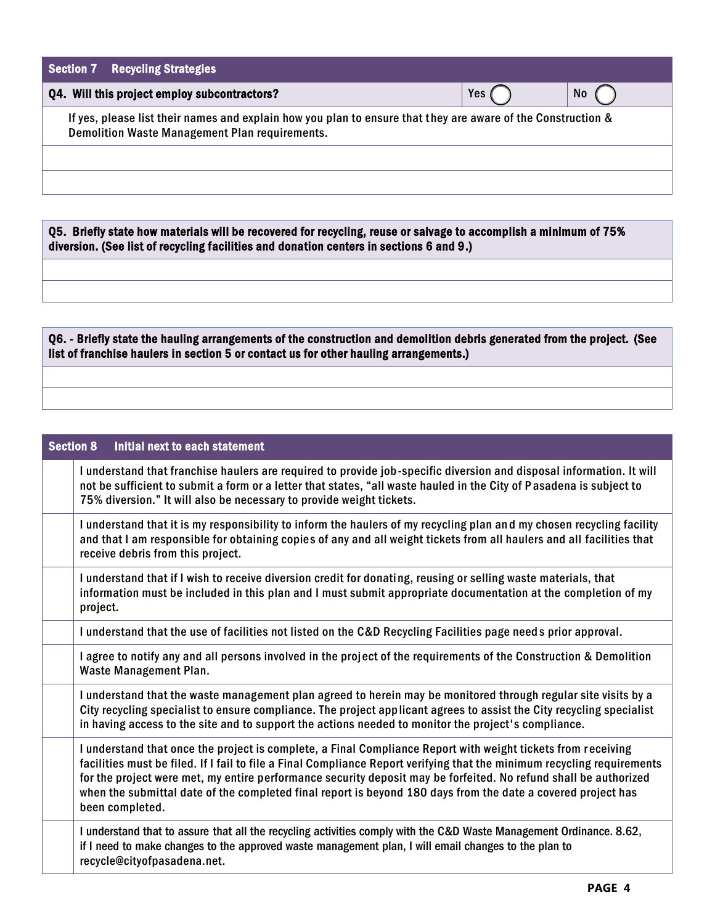| <b>Section 7 Recycling Strategies</b>                                                                                                                                 |     |           |  |  |  |
|-----------------------------------------------------------------------------------------------------------------------------------------------------------------------|-----|-----------|--|--|--|
| Q4. Will this project employ subcontractors?                                                                                                                          | Yes | <b>No</b> |  |  |  |
| If yes, please list their names and explain how you plan to ensure that they are aware of the Construction &<br><b>Demolition Waste Management Plan requirements.</b> |     |           |  |  |  |
|                                                                                                                                                                       |     |           |  |  |  |
|                                                                                                                                                                       |     |           |  |  |  |
|                                                                                                                                                                       |     |           |  |  |  |

Q5. Briefly state how materials will be recovered for recycling, reuse or salvage to accomplish a minimum of 75% diversion. (See list of recycling facilities and donation centers in sections 6 and 9.)

Q6. - Briefly state the hauling arrangements of the construction and demolition debris generated from the project. (See list of franchise haulers in section 5 or contact us for other hauling arrangements.)

| <b>Section 8</b><br>Initial next to each statement                                                                                                                                                                                                                                                                                                                                                                                                                                             |
|------------------------------------------------------------------------------------------------------------------------------------------------------------------------------------------------------------------------------------------------------------------------------------------------------------------------------------------------------------------------------------------------------------------------------------------------------------------------------------------------|
| I understand that franchise haulers are required to provide job-specific diversion and disposal information. It will<br>not be sufficient to submit a form or a letter that states, "all waste hauled in the City of Pasadena is subject to<br>75% diversion." It will also be necessary to provide weight tickets.                                                                                                                                                                            |
| I understand that it is my responsibility to inform the haulers of my recycling plan and my chosen recycling facility<br>and that I am responsible for obtaining copies of any and all weight tickets from all haulers and all facilities that<br>receive debris from this project.                                                                                                                                                                                                            |
| I understand that if I wish to receive diversion credit for donating, reusing or selling waste materials, that<br>information must be included in this plan and I must submit appropriate documentation at the completion of my<br>project.                                                                                                                                                                                                                                                    |
| I understand that the use of facilities not listed on the C&D Recycling Facilities page needs prior approval.                                                                                                                                                                                                                                                                                                                                                                                  |
| I agree to notify any and all persons involved in the project of the requirements of the Construction & Demolition<br>Waste Management Plan.                                                                                                                                                                                                                                                                                                                                                   |
| I understand that the waste management plan agreed to herein may be monitored through regular site visits by a<br>City recycling specialist to ensure compliance. The project applicant agrees to assist the City recycling specialist<br>in having access to the site and to support the actions needed to monitor the project's compliance.                                                                                                                                                  |
| I understand that once the project is complete, a Final Compliance Report with weight tickets from receiving<br>facilities must be filed. If I fail to file a Final Compliance Report verifying that the minimum recycling requirements<br>for the project were met, my entire performance security deposit may be forfeited. No refund shall be authorized<br>when the submittal date of the completed final report is beyond 180 days from the date a covered project has<br>been completed. |
| I understand that to assure that all the recycling activities comply with the C&D Waste Management Ordinance. 8.62,<br>if I need to make changes to the approved waste management plan, I will email changes to the plan to<br>recycle@cityofpasadena.net.                                                                                                                                                                                                                                     |